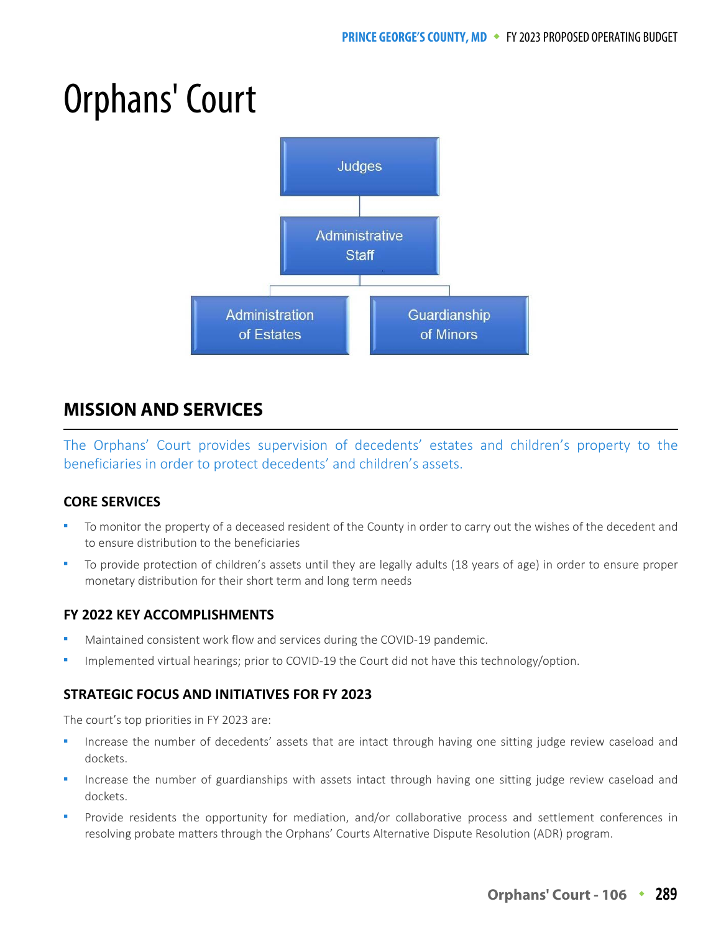# Orphans' Court



# **MISSION AND SERVICES**

The Orphans' Court provides supervision of decedents' estates and children's property to the beneficiaries in order to protect decedents' and children's assets.

## **CORE SERVICES**

- To monitor the property of a deceased resident of the County in order to carry out the wishes of the decedent and to ensure distribution to the beneficiaries
- To provide protection of children's assets until they are legally adults (18 years of age) in order to ensure proper monetary distribution for their short term and long term needs

## **FY 2022 KEY ACCOMPLISHMENTS**

- Maintained consistent work flow and services during the COVID-19 pandemic.
- Implemented virtual hearings; prior to COVID-19 the Court did not have this technology/option.

## **STRATEGIC FOCUS AND INITIATIVES FOR FY 2023**

The court's top priorities in FY 2023 are:

- Increase the number of decedents' assets that are intact through having one sitting judge review caseload and dockets.
- Increase the number of guardianships with assets intact through having one sitting judge review caseload and dockets.
- Provide residents the opportunity for mediation, and/or collaborative process and settlement conferences in resolving probate matters through the Orphans' Courts Alternative Dispute Resolution (ADR) program.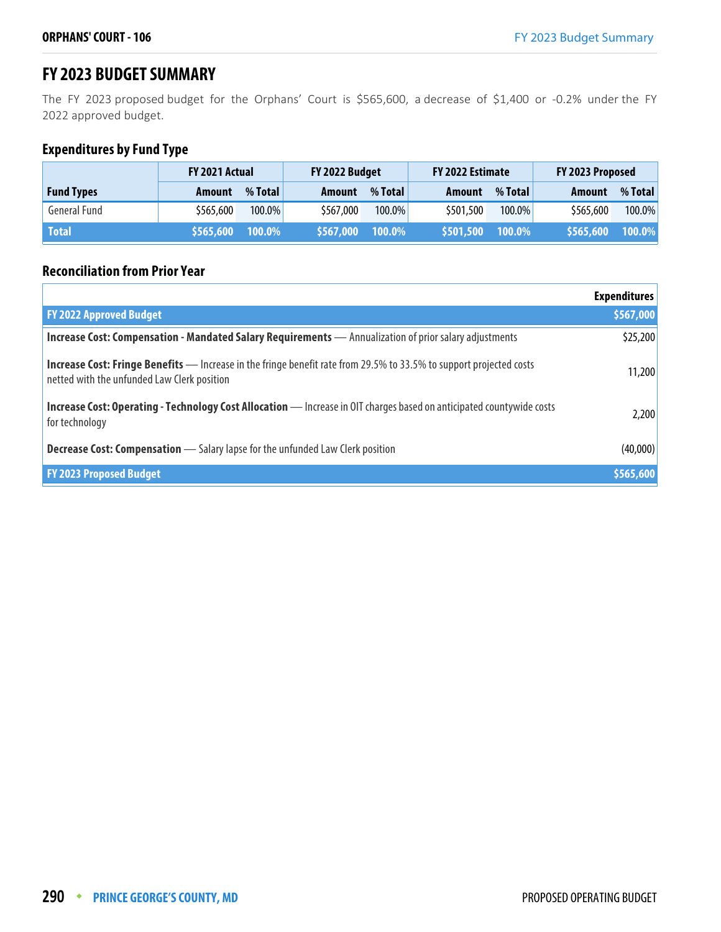# **FY 2023 BUDGET SUMMARY**

The FY 2023 proposed budget for the Orphans' Court is \$565,600, a decrease of \$1,400 or -0.2% under the FY 2022 approved budget.

# **Expenditures by Fund Type**

|                   | <b>FY 2021 Actual</b> |           | FY 2022 Budget |           | FY 2022 Estimate |           | FY 2023 Proposed |           |
|-------------------|-----------------------|-----------|----------------|-----------|------------------|-----------|------------------|-----------|
| <b>Fund Types</b> | Amount                | % Total   | Amount         | % Total   | Amount           | % Total   | Amount           | % Total   |
| General Fund      | \$565.600             | $100.0\%$ | \$567,000      | $100.0\%$ | \$501,500        | $100.0\%$ | \$565,600        | $100.0\%$ |
| <b>Total</b>      | \$565,600 100.0%      |           | \$567,000      | $100.0\%$ | \$501,500        | $100.0\%$ | \$565,600        | 100.0%    |

#### **Reconciliation from Prior Year**

|                                                                                                                                                                           | <b>Expenditures</b> |
|---------------------------------------------------------------------------------------------------------------------------------------------------------------------------|---------------------|
| <b>FY 2022 Approved Budget</b>                                                                                                                                            | \$567,000           |
| Increase Cost: Compensation - Mandated Salary Requirements - Annualization of prior salary adjustments                                                                    | \$25,200            |
| <b>Increase Cost: Fringe Benefits</b> — Increase in the fringe benefit rate from 29.5% to 33.5% to support projected costs<br>netted with the unfunded Law Clerk position | 11,200              |
| Increase Cost: Operating - Technology Cost Allocation - Increase in OIT charges based on anticipated countywide costs<br>for technology                                   | 2,200               |
| <b>Decrease Cost: Compensation</b> - Salary lapse for the unfunded Law Clerk position                                                                                     | (40,000)            |
| <b>FY 2023 Proposed Budget</b>                                                                                                                                            | \$565,600           |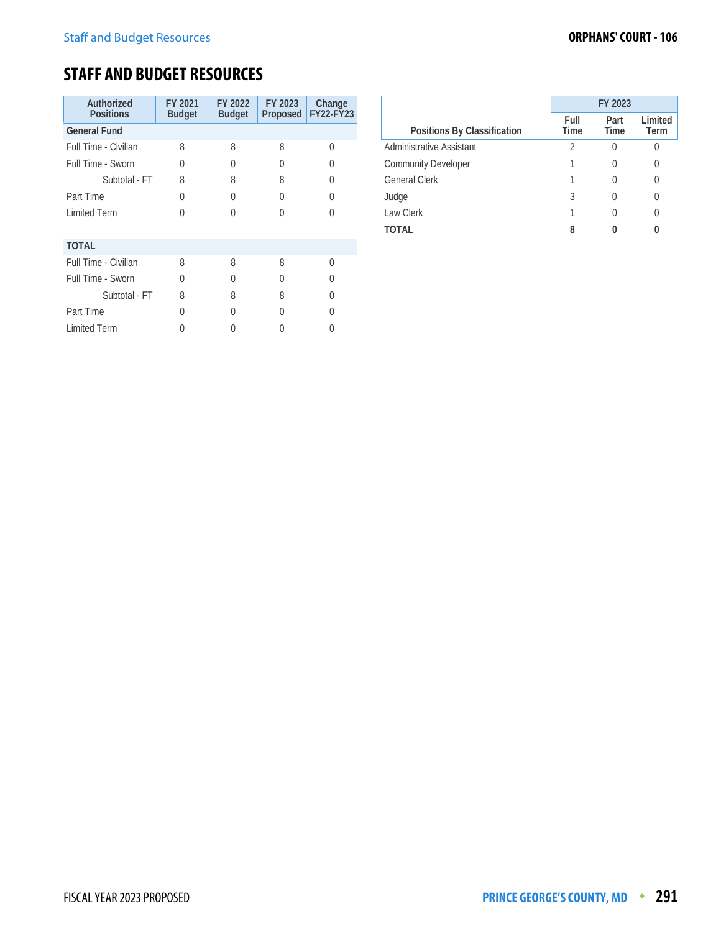# **STAFF AND BUDGET RESOURCES**

| Authorized<br><b>Positions</b> | FY 2021<br><b>Budget</b> | FY 2022<br><b>Budget</b> | FY 2023<br>Proposed | Change<br>FY22-FY23 |
|--------------------------------|--------------------------|--------------------------|---------------------|---------------------|
| <b>General Fund</b>            |                          |                          |                     |                     |
| Full Time - Civilian           | 8                        | 8                        | 8                   | 0                   |
| Full Time - Sworn              | 0                        | $\left( \right)$         | 0                   | $\left( \right)$    |
| Subtotal - FT                  | 8                        | 8                        | 8                   | U                   |
| Part Time                      | $\Omega$                 | 0                        | U                   | 0                   |
| <b>Limited Term</b>            | U                        |                          | U                   |                     |
| <b>TOTAL</b>                   |                          |                          |                     |                     |
| Full Time - Civilian           | 8                        | 8                        | 8                   | 0                   |
| <b>Full Time - Sworn</b>       | O                        | O                        | O                   | $\left( \right)$    |
| Subtotal - FT                  | 8                        | 8                        | 8                   | U                   |
| Part Time                      | U                        | O                        | O                   | U                   |
| <b>Limited Term</b>            |                          |                          |                     |                     |

|                                 | FY 2023      |                     |                 |  |  |
|---------------------------------|--------------|---------------------|-----------------|--|--|
| Positions By Classification     | Full<br>Time | Part<br><b>Time</b> | Limited<br>Term |  |  |
| <b>Administrative Assistant</b> | 2            |                     |                 |  |  |
| <b>Community Developer</b>      |              |                     | 0               |  |  |
| <b>General Clerk</b>            |              |                     | 0               |  |  |
| Judge                           | 3            |                     | 0               |  |  |
| Law Clerk                       |              |                     | 0               |  |  |
| <b>TOTAL</b>                    | 8            |                     | 0               |  |  |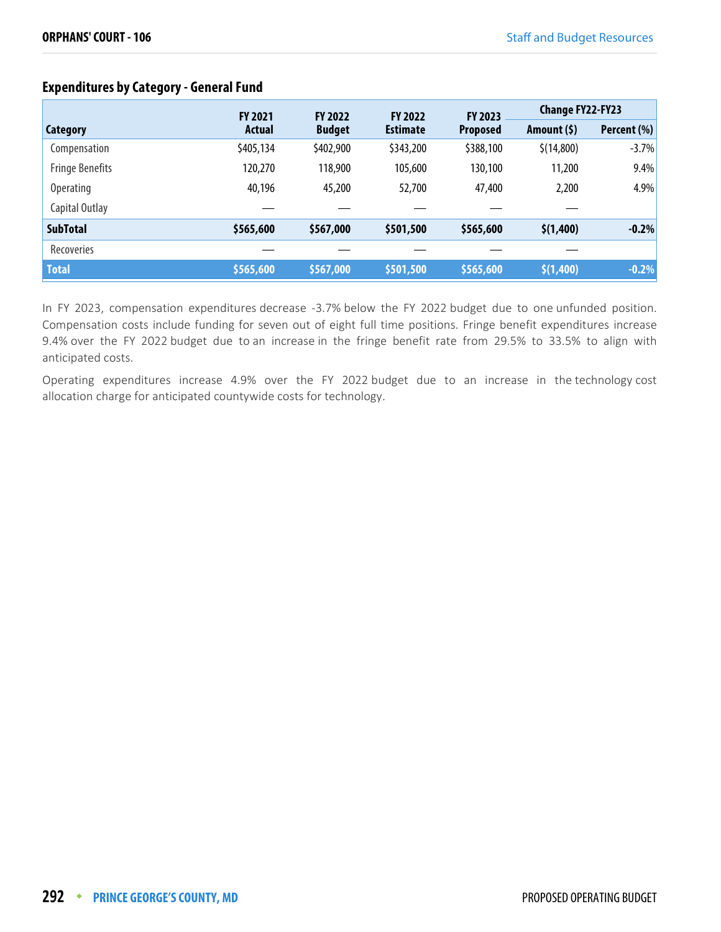# **Expenditures by Category - General Fund**

|                        | <b>FY 2021</b> | <b>FY 2022</b> | <b>FY 2022</b>  | <b>FY 2023</b>  | <b>Change FY22-FY23</b> |             |
|------------------------|----------------|----------------|-----------------|-----------------|-------------------------|-------------|
| Category               | <b>Actual</b>  | <b>Budget</b>  | <b>Estimate</b> | <b>Proposed</b> | Amount $(5)$            | Percent (%) |
| Compensation           | \$405,134      | \$402,900      | \$343,200       | \$388,100       | \$(14,800)              | $-3.7%$     |
| <b>Fringe Benefits</b> | 120,270        | 118,900        | 105,600         | 130,100         | 11,200                  | 9.4%        |
| <b>Operating</b>       | 40,196         | 45,200         | 52,700          | 47,400          | 2,200                   | 4.9%        |
| Capital Outlay         |                |                |                 |                 |                         |             |
| <b>SubTotal</b>        | \$565,600      | \$567,000      | \$501,500       | \$565,600       | \$(1,400)               | $-0.2%$     |
| <b>Recoveries</b>      |                |                |                 |                 |                         |             |
| <b>Total</b>           | \$565,600      | \$567,000      | \$501,500       | \$565,600       | \$(1,400)               | $-0.2%$     |

In FY 2023, compensation expenditures decrease -3.7% below the FY 2022 budget due to one unfunded position. Compensation costs include funding for seven out of eight full time positions. Fringe benefit expenditures increase 9.4% over the FY 2022 budget due to an increase in the fringe benefit rate from 29.5% to 33.5% to align with anticipated costs.

Operating expenditures increase 4.9% over the FY 2022 budget due to an increase in the technology cost allocation charge for anticipated countywide costs for technology.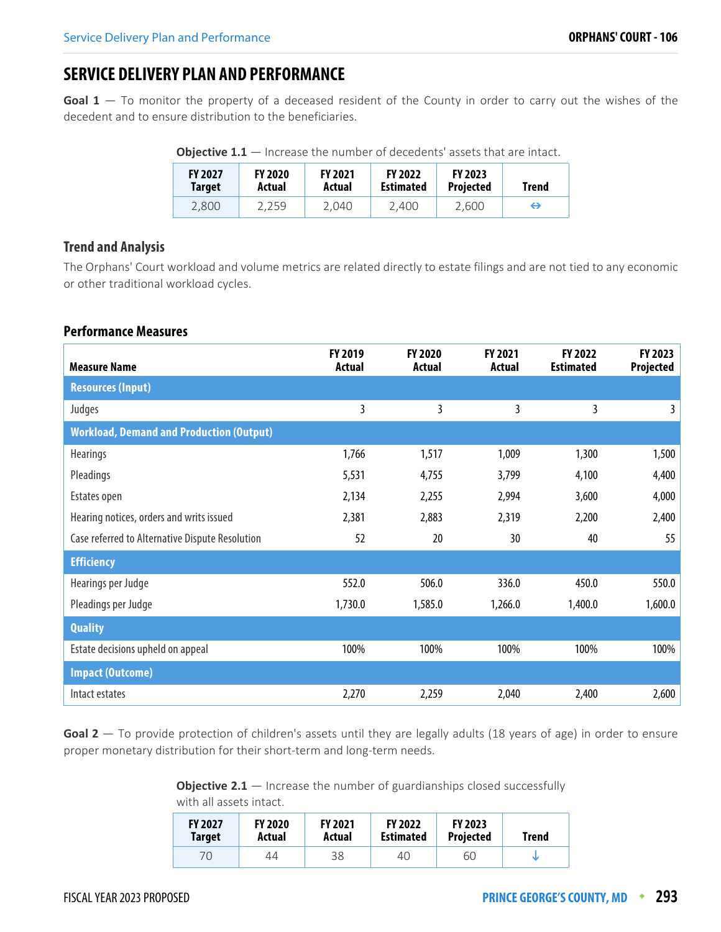# **SERVICE DELIVERY PLAN AND PERFORMANCE**

**Goal 1** — To monitor the property of a deceased resident of the County in order to carry out the wishes of the decedent and to ensure distribution to the beneficiaries.

| <b>FY 2027</b><br>Target | <b>FY 2020</b><br>Actual | <b>FY 2021</b><br>Actual | <b>FY 2022</b><br><b>Estimated</b> | <b>FY 2023</b><br><b>Projected</b> | Trend |
|--------------------------|--------------------------|--------------------------|------------------------------------|------------------------------------|-------|
| 2,800                    | 2,259                    | 2.040                    | 2.400                              | 2,600                              | ⊖     |

#### **Trend and Analysis**

The Orphans' Court workload and volume metrics are related directly to estate filings and are not tied to any economic or other traditional workload cycles.

#### **Performance Measures**

| <b>Measure Name</b>                             | <b>FY 2019</b><br><b>Actual</b> | <b>FY 2020</b><br>Actual | <b>FY 2021</b><br>Actual | <b>FY 2022</b><br><b>Estimated</b> | FY 2023<br>Projected |
|-------------------------------------------------|---------------------------------|--------------------------|--------------------------|------------------------------------|----------------------|
| <b>Resources (Input)</b>                        |                                 |                          |                          |                                    |                      |
| Judges                                          | 3                               | 3                        | 3                        | 3                                  | 3                    |
| <b>Workload, Demand and Production (Output)</b> |                                 |                          |                          |                                    |                      |
| <b>Hearings</b>                                 | 1,766                           | 1,517                    | 1,009                    | 1,300                              | 1,500                |
| Pleadings                                       | 5,531                           | 4,755                    | 3,799                    | 4,100                              | 4,400                |
| Estates open                                    | 2,134                           | 2,255                    | 2,994                    | 3,600                              | 4,000                |
| Hearing notices, orders and writs issued        | 2,381                           | 2,883                    | 2,319                    | 2,200                              | 2,400                |
| Case referred to Alternative Dispute Resolution | 52                              | 20                       | 30                       | 40                                 | 55                   |
| <b>Efficiency</b>                               |                                 |                          |                          |                                    |                      |
| Hearings per Judge                              | 552.0                           | 506.0                    | 336.0                    | 450.0                              | 550.0                |
| Pleadings per Judge                             | 1,730.0                         | 1,585.0                  | 1,266.0                  | 1,400.0                            | 1,600.0              |
| <b>Quality</b>                                  |                                 |                          |                          |                                    |                      |
| Estate decisions upheld on appeal               | 100%                            | 100%                     | 100%                     | 100%                               | 100%                 |
| <b>Impact (Outcome)</b>                         |                                 |                          |                          |                                    |                      |
| Intact estates                                  | 2,270                           | 2,259                    | 2,040                    | 2,400                              | 2,600                |

Goal 2 – To provide protection of children's assets until they are legally adults (18 years of age) in order to ensure proper monetary distribution for their short-term and long-term needs.

> **Objective 2.1** — Increase the number of guardianships closed successfully with all assets intact.

| <b>FY 2027</b> | <b>FY 2020</b> | <b>FY 2021</b> | <b>FY 2022</b>   | <b>FY 2023</b>   | Trend |
|----------------|----------------|----------------|------------------|------------------|-------|
| Target         | Actual         | Actual         | <b>Estimated</b> | <b>Projected</b> |       |
| 70             | 44             | 38             | 40               | 60               |       |